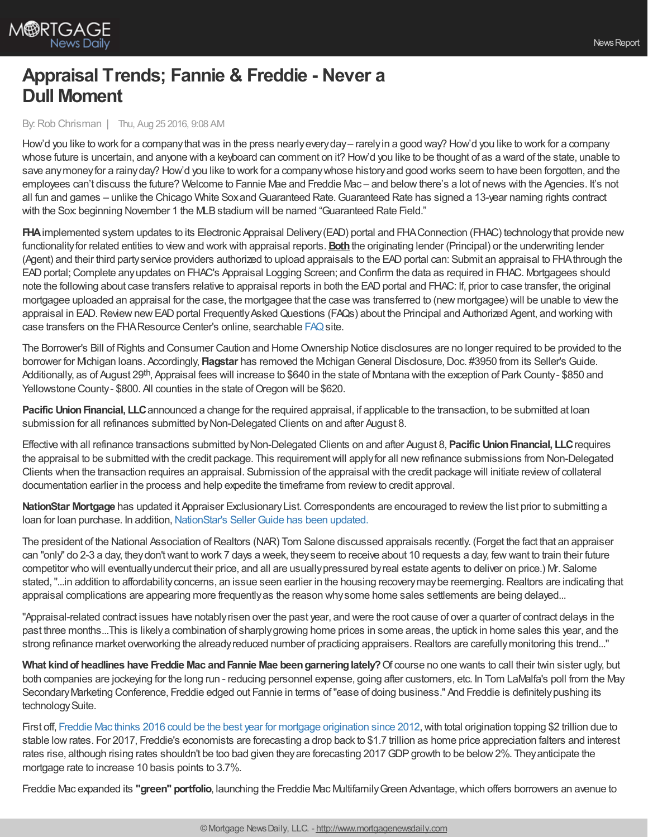

## **Appraisal Trends; Fannie & Freddie - Never a Dull Moment**

By:Rob Chrisman | Thu, Aug 25 2016, 9:08 AM

How'd you like to work for a companythatwas in the press nearlyeveryday– rarelyin a good way? How'd you like to work for a company whose future is uncertain, and anyone with a keyboard can comment on it? How'd you like to be thought of as a ward of the state, unable to save any money for a rainy day? How'd you like to work for a company whose history and good works seem to have been forgotten, and the employees can't discuss the future? Welcome to Fannie Mae and Freddie Mac – and belowthere's a lot of news with the Agencies. It's not all fun and games – unlike the Chicago White Sox and Guaranteed Rate. Guaranteed Rate has signed a 13-year naming rights contract with the Sox beginning November 1 the MLB stadium will be named "Guaranteed Rate Field."

**FHA**implemented system updates to its Electronic Appraisal Delivery(EAD) portal and FHAConnection (FHAC) technologythat provide new functionalityfor related entities to viewand workwith appraisal reports.**Both**the originating lender (Principal) or the underwriting lender (Agent) and their third party service providers authorized to upload appraisals to the EAD portal can: Submit an appraisal to FHA through the EADportal;Complete anyupdates on FHAC's Appraisal Logging Screen; and Confirm the data as required in FHAC. Mortgagees should note the following about case transfers relative to appraisal reports in both the EAD portal and FHAC: If, prior to case transfer, the original mortgagee uploaded an appraisal for the case, the mortgagee that the case was transferred to (new mortgagee) will be unable to viewthe appraisal in EAD. Review new EAD portal Frequently Asked Questions (FAQs) about the Principal and Authorized Agent, and working with case transfers on the FHA Resource Center's online, searchable [FAQ](http://portal.hud.gov/hudportal/HUD?src=/FHAFAQ) site.

The Borrower's Bill of Rights and Consumer Caution and Home Ownership Notice disclosures are no longer required to be provided to the borrower for Michigan loans. Accordingly, **Flagstar** has removed the Michigan General Disclosure, Doc. #3950 from its Seller's Guide. Additionally, as of August 29<sup>th</sup>, Appraisal fees will increase to \$640 in the state of Montana with the exception of Park County- \$850 and Yellowstone County - \$800. All counties in the state of Oregon will be \$620.

**Pacific Union Financial, LLC** announced a change for the required appraisal, if applicable to the transaction, to be submitted at loan submission for all refinances submitted byNon-Delegated Clients on and after August 8.

Effective with all refinance transactions submitted byNon-Delegated Clients on and after August 8, **Pacific UnionFinancial, LLC**requires the appraisal to be submitted with the credit package. This requirementwill applyfor all newrefinance submissions from Non-Delegated Clients when the transaction requires an appraisal. Submission of the appraisal with the credit package will initiate reviewof collateral documentation earlier in the process and help expedite the timeframe from reviewto credit approval.

**NationStar Mortgage** has updated it Appraiser Exclusionary List. Correspondents are encouraged to review the list prior to submitting a loan for loan purchase. In addition, NationStar's Seller Guide has been updated.

The president of the National Association of Realtors (NAR) Tom Salone discussed appraisals recently. (Forget the fact that an appraiser can "only" do 2-3 a day, theydon'twant to work 7 days a week, theyseem to receive about 10 requests a day, fewwant to train their future competitor who will eventuallyundercut their price, and all are usuallypressured byreal estate agents to deliver on price.) Mr. Salome stated, "...in addition to affordability concerns, an issue seen earlier in the housing recovery may be reemerging. Realtors are indicating that appraisal complications are appearing more frequently as the reason why some home sales settlements are being delayed...

"Appraisal-related contract issues have notablyrisen over the past year, and were the root cause of over a quarter of contract delays in the past three months...This is likelya combination of sharplygrowing home prices in some areas, the uptick in home sales this year, and the strong refinance market overworking the already reduced number of practicing appraisers. Realtors are carefully monitoring this trend..."

**What kindof headlines have Freddie Mac andFannie Mae beengarneringlately?**Of course no one wants to call their twin sister ugly, but both companies are jockeying for the long run - reducing personnel expense, going after customers, etc. In Tom LaMalfa's poll from the May SecondaryMarketing Conference, Freddie edged out Fannie in terms of"ease of doing business." And Freddie is definitelypushing its technology Suite.

First off, Freddie Mac thinks 2016 could be the best year for mortgage [origination](http://www.freddiemac.com/finance/report/20160815_the_return_of_the_2_trillion_dollar_mortgage_market.html) since 2012, with total origination topping \$2 trillion due to stable lowrates. For 2017, Freddie's economists are forecasting a drop back to \$1.7 trillion as home price appreciation falters and interest rates rise, although rising rates shouldn't be too bad given they are forecasting 2017 GDP growth to be below 2%. They anticipate the mortgage rate to increase 10 basis points to 3.7%.

Freddie Mac expanded its **"green" portfolio**, launching the Freddie Mac MultifamilyGreen Advantage,which offers borrowers an avenue to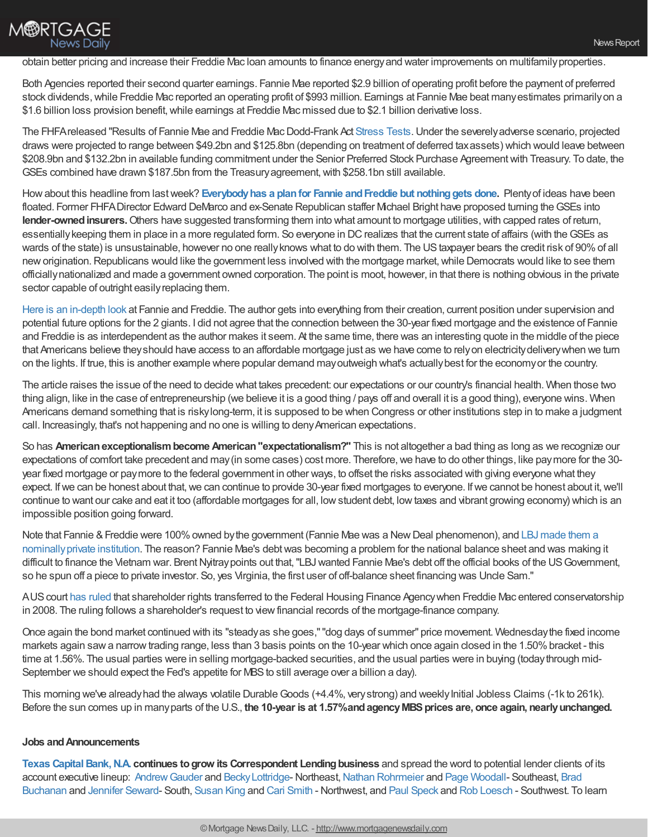## **M®RTGAGE News Daily**

## obtain better pricing and increase their Freddie Mac loan amounts to finance energyand water improvements on multifamilyproperties.

Both Agencies reported their second quarter earnings. Fannie Mae reported \$2.9 billion of operating profit before the payment of preferred stock dividends,while Freddie Mac reported an operating profit of \$993 million. Earnings at Fannie Mae beat manyestimates primarilyon a \$1.6 billion loss provision benefit, while earnings at Freddie Mac missed due to \$2.1 billion derivative loss.

The FHFA released "Results of Fannie Mae and Freddie Mac Dodd-Frank Act [Stress](http://www.fhfa.gov/SupervisionRegulation/DoddFrankActStressTests) Tests. Under the severely adverse scenario, projected draws were projected to range between \$49.2bn and \$125.8bn (depending on treatment of deferred taxassets) which would leave between \$208.9bn and \$132.2bn in available funding commitment under the Senior Preferred Stock Purchase Agreement with Treasury. To date, the GSEs combined have drawn \$187.5bn from the Treasury agreement, with \$258.1bn still available.

Howabout this headline from lastweek? **[Everybodyhas](http://www.bloomberg.com/news/articles/2016-08-18/the-fix-is-out-fannie-and-freddie-heading-for-new-troubles) a planfor Fannie andFreddie but nothinggets done.** Plentyof ideas have been floated. Former FHFA Director Edward DeMarco and ex-Senate Republican staffer Michael Bright have proposed turning the GSEs into lender-owned insurers. Others have suggested transforming them into what amount to mortgage utilities, with capped rates of return, essentiallykeeping them in place in a more regulated form. So everyone in DCrealizes that the current state of affairs (with theGSEs as wards of the state) is unsustainable, however no one really knows what to do with them. The US taxpayer bears the credit risk of 90% of all new origination. Republicans would like the government less involved with the mortgage market, while Democrats would like to see them officiallynationalized and made a government owned corporation. The point is moot, however, in that there is nothing obvious in the private sector capable of outright easily replacing them.

Here is an [in-depth](http://www.miamiherald.com/news/business/real-estate-news/article93888877.html) look at Fannie and Freddie. The author gets into everything from their creation, current position under supervision and potential future options for the 2 giants. I did not agree that the connection between the 30-year fixed mortgage and the existence of Fannie and Freddie is as interdependent as the author makes it seem. At the same time, there was an interesting quote in the middle of the piece that Americans believe theyshould have access to an affordable mortgage just as we have come to relyon electricitydeliverywhen we turn on the lights. If true, this is another example where popular demand mayoutweigh what's actuallybest for the economyor the country.

The article raises the issue of the need to decide what takes precedent: our expectations or our country's financial health. When those two thing align, like in the case of entrepreneurship (we believe it is a good thing / pays off and overall it is a good thing), everyone wins. When Americans demand something that is riskylong-term, it is supposed to be when Congress or other institutions step in to make a judgment call. Increasingly, that's not happening and no one is willing to denyAmerican expectations.

So has **Americanexceptionalismbecome American"expectationalism?"** This is not altogether a bad thing as long as we recognize our expectations of comfort take precedent and may(in some cases) cost more. Therefore,we have to do other things, like paymore for the 30 year fixed mortgage or paymore to the federal government in other ways, to offset the risks associated with giving everyone what they expect. If we can be honest about that, we can continue to provide 30-year fixed mortgages to everyone. If we cannot be honest about it, we'll continue to want our cake and eat it too (affordable mortgages for all, lowstudent debt, lowtaxes and vibrant growing economy) which is an impossible position going forward.

Note that Fannie & Freddie were 100% owned by the government (Fannie Mae was a New Deal phenomenon), and LBJ made them a [nominallyprivate](http://content.time.com/time/business/article/0,8599,1822766,00.html) institution. The reason? Fannie Mae's debtwas becoming a problem for the national balance sheet and was making it difficult to finance the Vietnam war. Brent Nyitray points out that, "LBJ wanted Fannie Mae's debt off the official books of the US Government, so he spun off a piece to private investor. So, yes Virginia, the first user of off-balance sheet financing was Uncle Sam."

AUScourt has [ruled](http://blogs.wsj.com/moneybeat/2016/08/23/in-a-blow-to-fannie-and-freddie-shareholders-court-tosses-out-another-lawsuit/) that shareholder rights transferred to the Federal Housing Finance Agencywhen Freddie Mac entered conservatorship in 2008. The ruling follows a shareholder's request to viewfinancial records of the mortgage-finance company.

Once again the bond market continued with its "steadyas she goes,""dog days of summer" price movement. Wednesdaythe fixed income markets again saw a narrow trading range, less than 3 basis points on the 10-year which once again closed in the 1.50% bracket - this time at 1.56%. The usual parties were in selling mortgage-backed securities, and the usual parties were in buying (today through mid-September we should expect the Fed's appetite for MBS to still average over a billion a day).

This morning we've already had the always volatile Durable Goods (+4.4%, very strong) and weekly Initial Jobless Claims (-1k to 261k). Before the sun comes up in manyparts of the U.S., **the 10-year is at 1.57%andagencyMBSprices are, once again, nearlyunchanged.**

## **Jobs andAnnouncements**

**Texas Capital Bank, N.A. continues to grow its Correspondent Lending business and spread the word to potential lender clients of its** account executive lineup: Andrew Gauder and Becky Lottridge-Northeast, Nathan [Rohrmeier](mailto:nathan.rohrmeier@texascapitalbank.com) and Page [Woodall](mailto:page.woodall@texascapitalbank.com)- Southeast, Brad Buchanan and [Jennifer](mailto:jennifer.seward@texascapitalbank.com) Seward- South, [Susan](mailto:susan.king@texascapitalbank.com) King and Cari [Smith](mailto:cari.smith@texascapitalbank.com) - Northwest, and Paul [Speck](mailto:paul.speck@texascapitalbank.com) and Rob [Loesch](mailto:rob.loesch@texascapitalbank.com) - Southwest. To learn